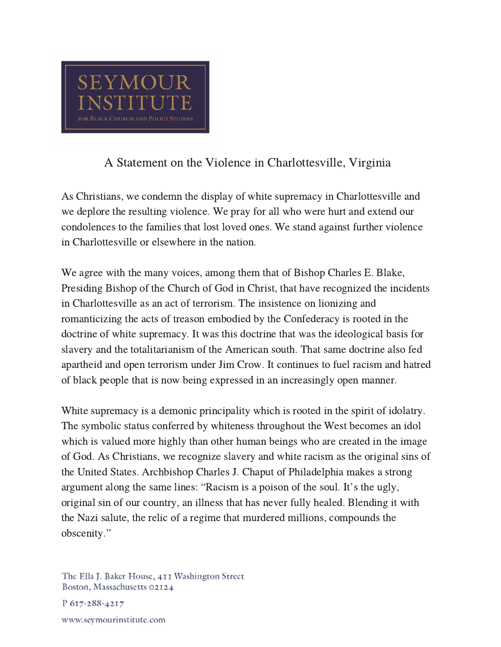

## A Statement on the Violence in Charlottesville, Virginia

As Christians, we condemn the display of white supremacy in Charlottesville and we deplore the resulting violence. We pray for all who were hurt and extend our condolences to the families that lost loved ones. We stand against further violence in Charlottesville or elsewhere in the nation.

We agree with the many voices, among them that of Bishop Charles E. Blake, Presiding Bishop of the Church of God in Christ, that have recognized the incidents in Charlottesville as an act of terrorism. The insistence on lionizing and romanticizing the acts of treason embodied by the Confederacy is rooted in the doctrine of white supremacy. It was this doctrine that was the ideological basis for slavery and the totalitarianism of the American south. That same doctrine also fed apartheid and open terrorism under Jim Crow. It continues to fuel racism and hatred of black people that is now being expressed in an increasingly open manner.

White supremacy is a demonic principality which is rooted in the spirit of idolatry. The symbolic status conferred by whiteness throughout the West becomes an idol which is valued more highly than other human beings who are created in the image of God. As Christians, we recognize slavery and white racism as the original sins of the United States. Archbishop Charles J. Chaput of Philadelphia makes a strong argument along the same lines: "Racism is <sup>a</sup> poison of the soul. It's the ugly, original sin of our country, an illness that has never fully healed. Blending it with the Nazi salute, the relic of a regime that murdered millions, compounds the the Nazi sal<br>obscenity."

The Ella J. Baker House, 411 Washington Street Boston, Massachusetts 02124

P 617-288-4217

www.seymourinstitute.com